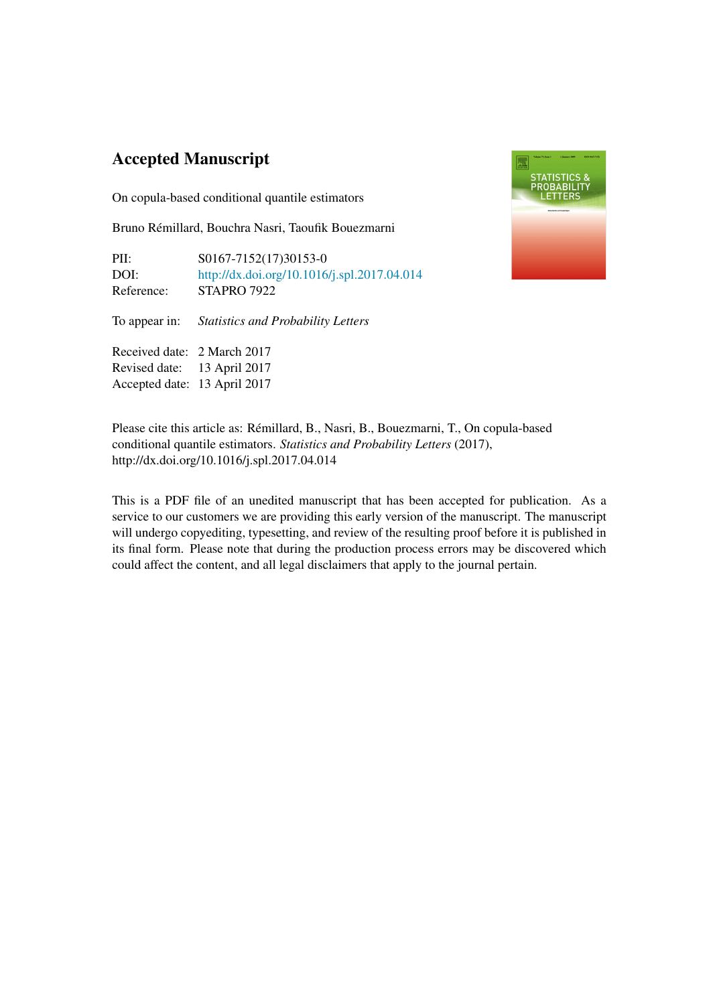# Accepted Manuscript

On copula-based conditional quantile estimators

Bruno Remillard, Bouchra Nasri, Taoufik Bouezmarni ´

| PII:                         | S0167-7152(17)30153-0                            |
|------------------------------|--------------------------------------------------|
| DOI:                         | http://dx.doi.org/10.1016/j.spl.2017.04.014      |
| Reference:                   | <b>STAPRO 7922</b>                               |
|                              | To appear in: Statistics and Probability Letters |
| Received date: 2 March 2017  |                                                  |
| Revised date: 13 April 2017  |                                                  |
| Accepted date: 13 April 2017 |                                                  |



Please cite this article as: Remillard, B., Nasri, B., Bouezmarni, T., On copula-based ´ conditional quantile estimators. *Statistics and Probability Letters* (2017), http://dx.doi.org/10.1016/j.spl.2017.04.014

This is a PDF file of an unedited manuscript that has been accepted for publication. As a service to our customers we are providing this early version of the manuscript. The manuscript will undergo copyediting, typesetting, and review of the resulting proof before it is published in its final form. Please note that during the production process errors may be discovered which could affect the content, and all legal disclaimers that apply to the journal pertain.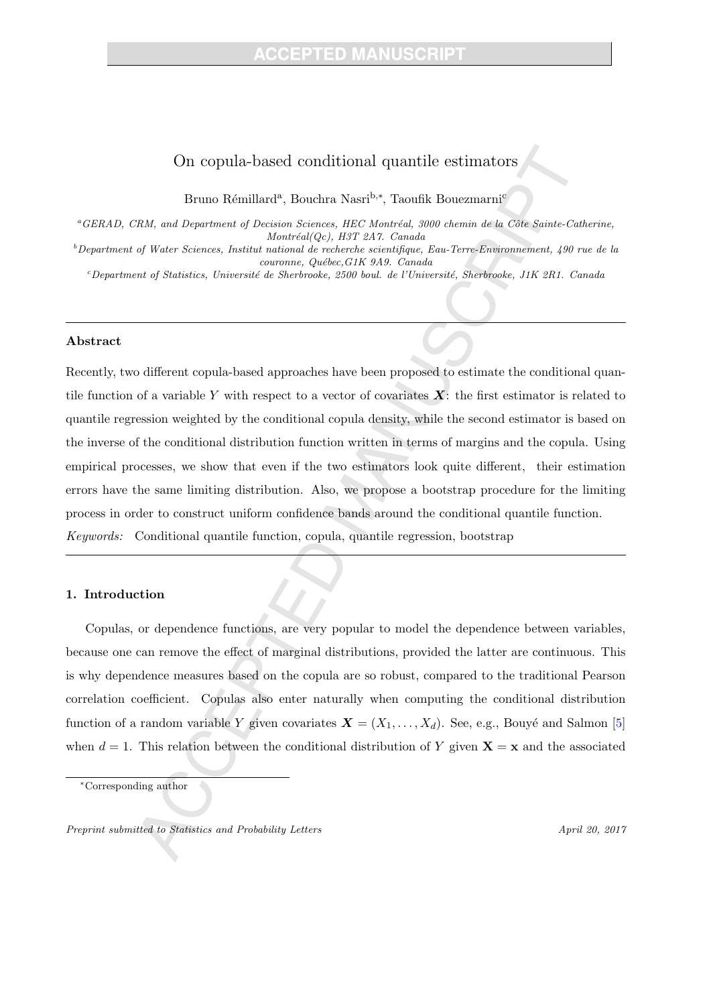## On copula-based conditional quantile estimators

Bruno Rémillard<sup>a</sup>, Bouchra Nasri<sup>b,∗</sup>, Taoufik Bouezmarni<sup>c</sup>

 ${}^a$ GERAD, CRM, and Department of Decision Sciences, HEC Montréal, 3000 chemin de la Côte Sainte-Catherine,  $Montréal(Qc)$ , H3T 2A7. Canada

 $^{b}$ Department of Water Sciences, Institut national de recherche scientifique, Eau-Terre-Environnement, 490 rue de la couronne, Québec, G1K 9A9. Canada

 $c^c$ Department of Statistics, Université de Sherbrooke, 2500 boul. de l'Université, Sherbrooke, J1K 2R1. Canada

#### Abstract

Recently, two different copula-based approaches have been proposed to estimate the conditional quantile function of a variable Y with respect to a vector of covariates  $X$ : the first estimator is related to quantile regression weighted by the conditional copula density, while the second estimator is based on the inverse of the conditional distribution function written in terms of margins and the copula. Using empirical processes, we show that even if the two estimators look quite different, their estimation errors have the same limiting distribution. Also, we propose a bootstrap procedure for the limiting process in order to construct uniform confidence bands around the conditional quantile function. Keywords: Conditional quantile function, copula, quantile regression, bootstrap

## 1. Introduction

Copulas, or dependence functions, are very popular to model the dependence between variables, because one can remove the effect of marginal distributions, provided the latter are continuous. This is why dependence measures based on the copula are so robust, compared to the traditional Pearson correlation coefficient. Copulas also enter naturally when computing the conditional distribution function of a random variable Y given covariates  $X = (X_1, \ldots, X_d)$ . See, e.g., Bouyé and Salmon [5] when  $d = 1$ . This relation between the conditional distribution of Y given  $X = x$  and the associated

Preprint submitted to Statistics and Probability Letters April 20, 2017

<sup>∗</sup>Corresponding author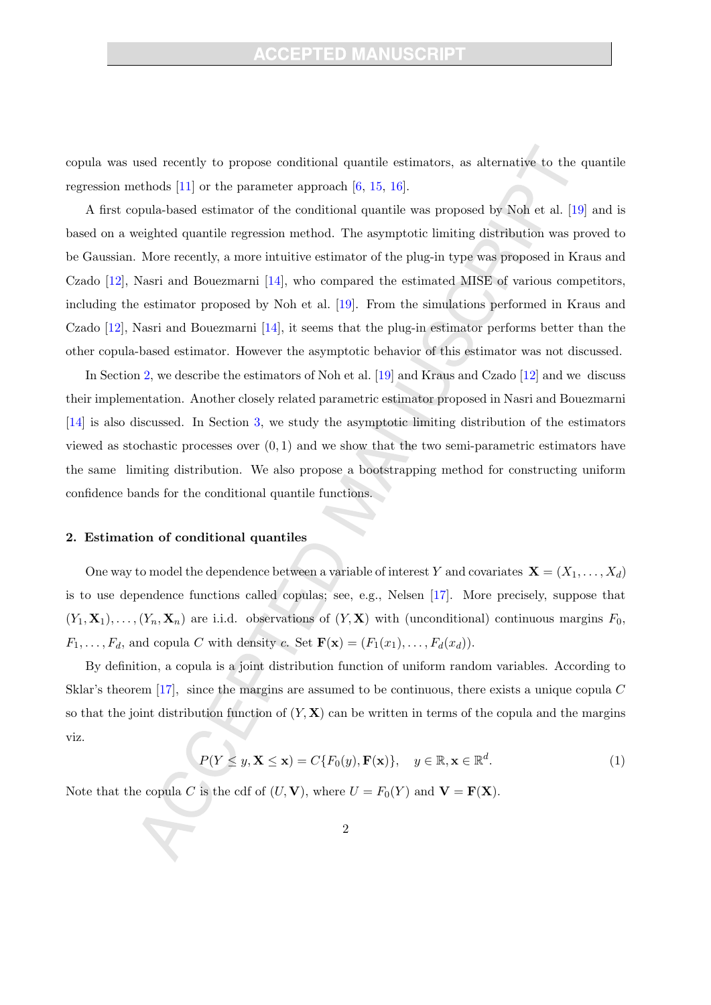copula was used recently to propose conditional quantile estimators, as alternative to the quantile regression methods [11] or the parameter approach [6, 15, 16].

A first copula-based estimator of the conditional quantile was proposed by Noh et al. [19] and is based on a weighted quantile regression method. The asymptotic limiting distribution was proved to be Gaussian. More recently, a more intuitive estimator of the plug-in type was proposed in Kraus and Czado [12], Nasri and Bouezmarni [14], who compared the estimated MISE of various competitors, including the estimator proposed by Noh et al. [19]. From the simulations performed in Kraus and Czado [12], Nasri and Bouezmarni [14], it seems that the plug-in estimator performs better than the other copula-based estimator. However the asymptotic behavior of this estimator was not discussed.

In Section 2, we describe the estimators of Noh et al. [19] and Kraus and Czado [12] and we discuss their implementation. Another closely related parametric estimator proposed in Nasri and Bouezmarni [14] is also discussed. In Section 3, we study the asymptotic limiting distribution of the estimators viewed as stochastic processes over  $(0, 1)$  and we show that the two semi-parametric estimators have the same limiting distribution. We also propose a bootstrapping method for constructing uniform confidence bands for the conditional quantile functions.

#### 2. Estimation of conditional quantiles

One way to model the dependence between a variable of interest Y and covariates  $\mathbf{X} = (X_1, \ldots, X_d)$ is to use dependence functions called copulas; see, e.g., Nelsen [17]. More precisely, suppose that  $(Y_1, \mathbf{X}_1), \ldots, (Y_n, \mathbf{X}_n)$  are i.i.d. observations of  $(Y, \mathbf{X})$  with (unconditional) continuous margins  $F_0$ ,  $F_1, \ldots, F_d$ , and copula C with density c. Set  $\mathbf{F}(\mathbf{x}) = (F_1(x_1), \ldots, F_d(x_d))$ .

By definition, a copula is a joint distribution function of uniform random variables. According to Sklar's theorem [17], since the margins are assumed to be continuous, there exists a unique copula C so that the joint distribution function of  $(Y, X)$  can be written in terms of the copula and the margins viz.

$$
P(Y \le y, \mathbf{X} \le \mathbf{x}) = C\{F_0(y), \mathbf{F}(\mathbf{x})\}, \quad y \in \mathbb{R}, \mathbf{x} \in \mathbb{R}^d. \tag{1}
$$

Note that the copula C is the cdf of  $(U, V)$ , where  $U = F_0(Y)$  and  $V = F(X)$ .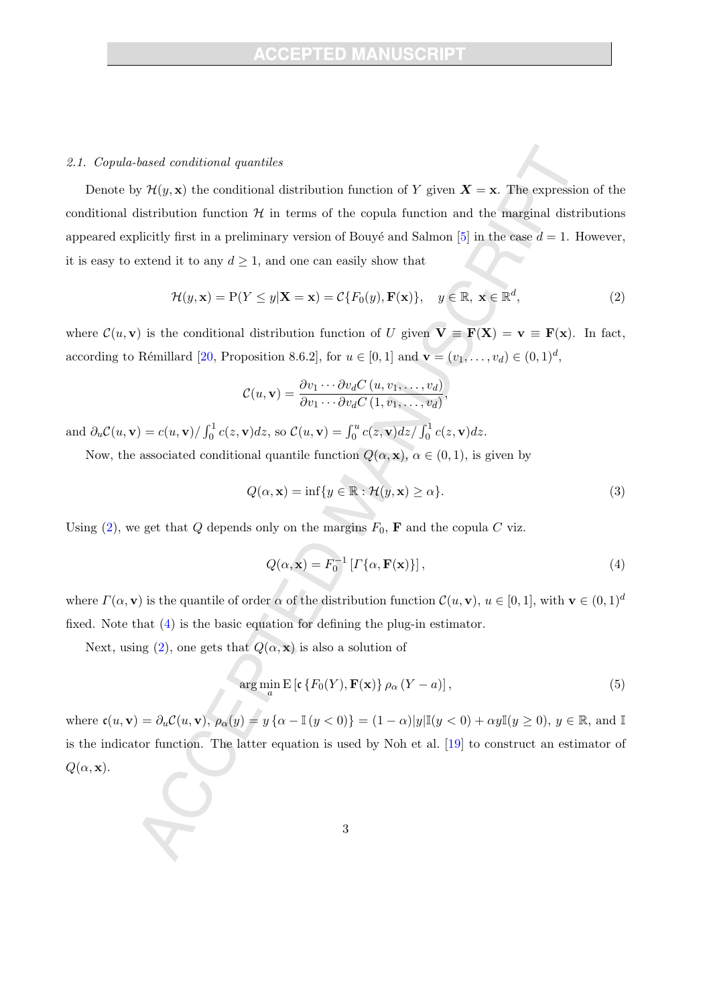#### 2.1. Copula-based conditional quantiles

Denote by  $\mathcal{H}(y, \mathbf{x})$  the conditional distribution function of Y given  $\mathbf{X} = \mathbf{x}$ . The expression of the conditional distribution function  $H$  in terms of the copula function and the marginal distributions appeared explicitly first in a preliminary version of Bouyé and Salmon [5] in the case  $d = 1$ . However, it is easy to extend it to any  $d \geq 1$ , and one can easily show that

$$
\mathcal{H}(y, \mathbf{x}) = P(Y \le y | \mathbf{X} = \mathbf{x}) = C\{F_0(y), \mathbf{F}(\mathbf{x})\}, \quad y \in \mathbb{R}, \ \mathbf{x} \in \mathbb{R}^d,
$$
\n(2)

where  $\mathcal{C}(u, \mathbf{v})$  is the conditional distribution function of U given  $\mathbf{V} \equiv \mathbf{F}(\mathbf{X}) = \mathbf{v} \equiv \mathbf{F}(\mathbf{x})$ . In fact, according to Rémillard [20, Proposition 8.6.2], for  $u \in [0, 1]$  and  $\mathbf{v} = (v_1, \dots, v_d) \in (0, 1]^d$ ,

$$
C(u, \mathbf{v}) = \frac{\partial v_1 \cdots \partial v_d C(u, v_1, \dots, v_d)}{\partial v_1 \cdots \partial v_d C(1, v_1, \dots, v_d)},
$$

and  $\partial_u \mathcal{C}(u, \mathbf{v}) = c(u, \mathbf{v}) / \int_0^1 c(z, \mathbf{v}) dz$ , so  $\mathcal{C}(u, \mathbf{v}) = \int_0^u c(z, \mathbf{v}) dz / \int_0^1 c(z, \mathbf{v}) dz$ .

Now, the associated conditional quantile function  $Q(\alpha, \mathbf{x})$ ,  $\alpha \in (0, 1)$ , is given by

$$
Q(\alpha, \mathbf{x}) = \inf \{ y \in \mathbb{R} : \mathcal{H}(y, \mathbf{x}) \ge \alpha \}. \tag{3}
$$

Using (2), we get that Q depends only on the margins  $F_0$ , **F** and the copula C viz.

$$
Q(\alpha, \mathbf{x}) = F_0^{-1} \left[ \Gamma \{ \alpha, \mathbf{F}(\mathbf{x}) \} \right],\tag{4}
$$

where  $\Gamma(\alpha, \mathbf{v})$  is the quantile of order  $\alpha$  of the distribution function  $\mathcal{C}(u, \mathbf{v})$ ,  $u \in [0, 1]$ , with  $\mathbf{v} \in (0, 1]^d$ fixed. Note that (4) is the basic equation for defining the plug-in estimator.

Next, using (2), one gets that  $Q(\alpha, \mathbf{x})$  is also a solution of

$$
\arg\min_{a} \mathbb{E}\left[\mathfrak{c}\left\{F_0(Y), \mathbf{F}(\mathbf{x})\right\}\rho_\alpha\left(Y - a\right)\right],\tag{5}
$$

where  $\mathfrak{c}(u, v) = \partial_u \mathcal{C}(u, v), \ \rho_\alpha(y) = y \{ \alpha - \mathbb{I}(y < 0) \} = (1 - \alpha) |y| \mathbb{I}(y < 0) + \alpha y \mathbb{I}(y \ge 0), \ y \in \mathbb{R}, \text{ and } \mathbb{I}(y) = 0$ is the indicator function. The latter equation is used by Noh et al. [19] to construct an estimator of  $Q(\alpha, \mathbf{x}).$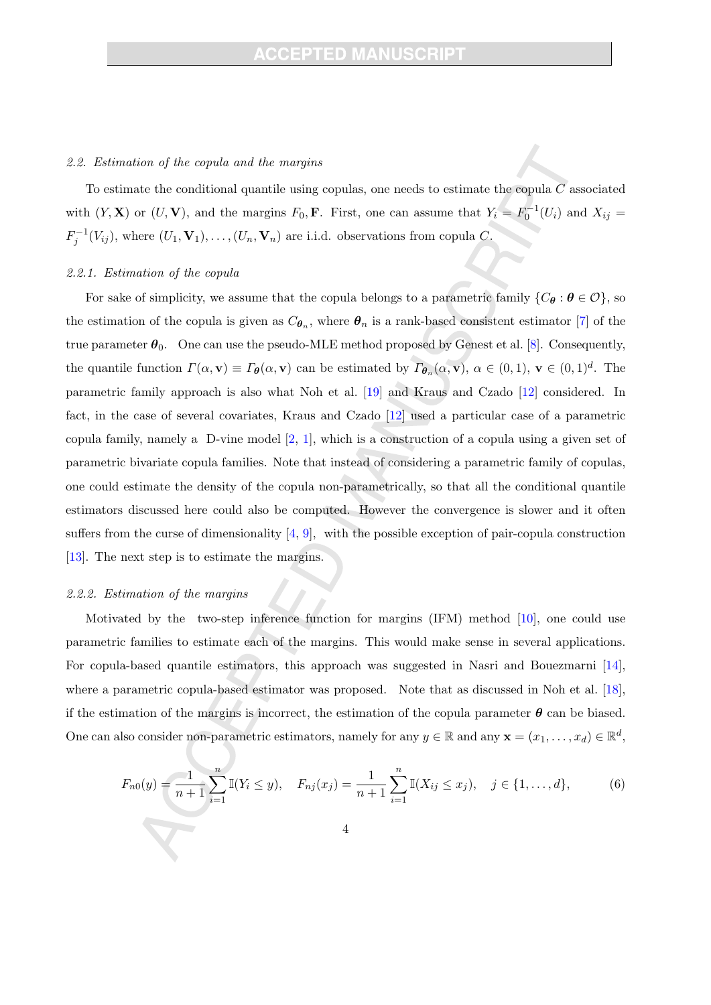#### 2.2. Estimation of the copula and the margins

To estimate the conditional quantile using copulas, one needs to estimate the copula  $C$  associated with  $(Y, X)$  or  $(U, V)$ , and the margins  $F_0$ , **F**. First, one can assume that  $Y_i = F_0^{-1}(U_i)$  and  $X_{ij} =$  $F_j^{-1}(V_{ij})$ , where  $(U_1, V_1), \ldots, (U_n, V_n)$  are i.i.d. observations from copula C.

#### 2.2.1. Estimation of the copula

For sake of simplicity, we assume that the copula belongs to a parametric family  $\{C_{\theta} : \theta \in \mathcal{O}\}\,$  so the estimation of the copula is given as  $C_{\theta_n}$ , where  $\theta_n$  is a rank-based consistent estimator [7] of the true parameter  $\theta_0$ . One can use the pseudo-MLE method proposed by Genest et al. [8]. Consequently, the quantile function  $\Gamma(\alpha, \mathbf{v}) \equiv \Gamma_{\theta}(\alpha, \mathbf{v})$  can be estimated by  $\Gamma_{\theta_n}(\alpha, \mathbf{v})$ ,  $\alpha \in (0, 1)$ ,  $\mathbf{v} \in (0, 1)^d$ . The parametric family approach is also what Noh et al. [19] and Kraus and Czado [12] considered. In fact, in the case of several covariates, Kraus and Czado [12] used a particular case of a parametric copula family, namely a D-vine model  $[2, 1]$ , which is a construction of a copula using a given set of parametric bivariate copula families. Note that instead of considering a parametric family of copulas, one could estimate the density of the copula non-parametrically, so that all the conditional quantile estimators discussed here could also be computed. However the convergence is slower and it often suffers from the curse of dimensionality  $[4, 9]$ , with the possible exception of pair-copula construction [13]. The next step is to estimate the margins.

## 2.2.2. Estimation of the margins

Motivated by the two-step inference function for margins (IFM) method [10], one could use parametric families to estimate each of the margins. This would make sense in several applications. For copula-based quantile estimators, this approach was suggested in Nasri and Bouezmarni [14], where a parametric copula-based estimator was proposed. Note that as discussed in Noh et al. [18], if the estimation of the margins is incorrect, the estimation of the copula parameter  $\theta$  can be biased. One can also consider non-parametric estimators, namely for any  $y \in \mathbb{R}$  and any  $\mathbf{x} = (x_1, \dots, x_d) \in \mathbb{R}^d$ ,

$$
F_{n0}(y) = \frac{1}{n+1} \sum_{i=1}^{n} \mathbb{I}(Y_i \le y), \quad F_{nj}(x_j) = \frac{1}{n+1} \sum_{i=1}^{n} \mathbb{I}(X_{ij} \le x_j), \quad j \in \{1, \dots, d\},
$$
 (6)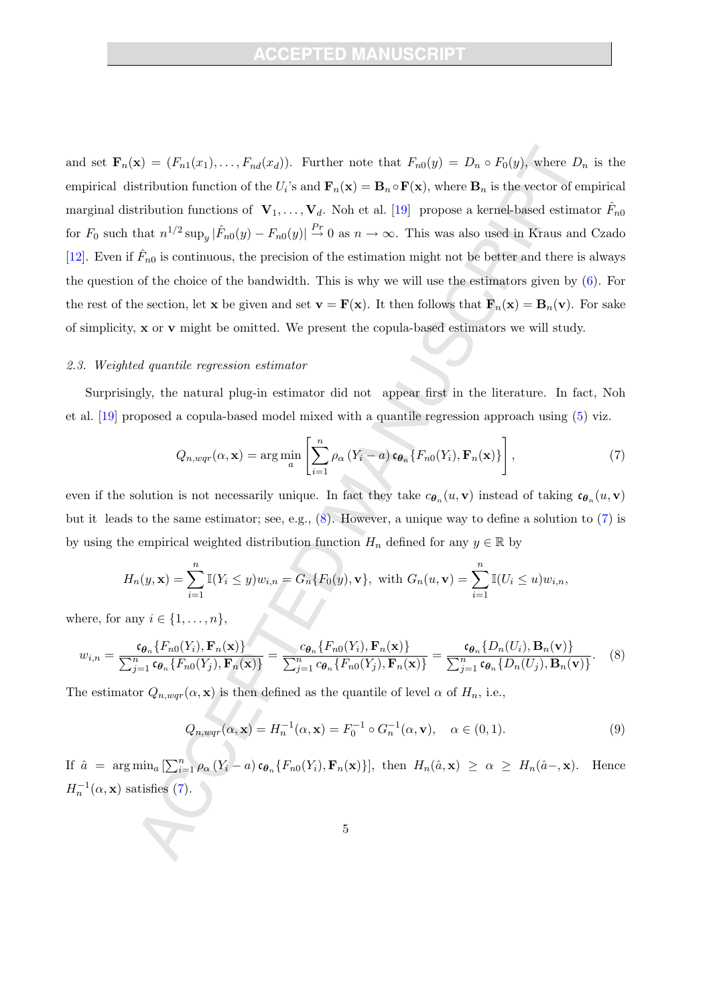and set  $\mathbf{F}_n(\mathbf{x}) = (F_{n1}(x_1), \ldots, F_{nd}(x_d))$ . Further note that  $F_{n0}(y) = D_n \circ F_0(y)$ , where  $D_n$  is the empirical distribution function of the  $U_i$ 's and  $\mathbf{F}_n(\mathbf{x}) = \mathbf{B}_n \circ \mathbf{F}(\mathbf{x})$ , where  $\mathbf{B}_n$  is the vector of empirical marginal distribution functions of  $\mathbf{V}_1, \ldots, \mathbf{V}_d$ . Noh et al. [19] propose a kernel-based estimator  $\hat{F}_{n0}$ for  $F_0$  such that  $n^{1/2} \sup_y |\hat{F}_{n0}(y) - F_{n0}(y)| \stackrel{Pr}{\to} 0$  as  $n \to \infty$ . This was also used in Kraus and Czado [12]. Even if  $\hat{F}_{n0}$  is continuous, the precision of the estimation might not be better and there is always the question of the choice of the bandwidth. This is why we will use the estimators given by  $(6)$ . For the rest of the section, let **x** be given and set **v** = **F**(**x**). It then follows that **F**<sub>n</sub>(**x**) = **B**<sub>n</sub>(**v**). For sake of simplicity,  $x$  or  $v$  might be omitted. We present the copula-based estimators we will study.

#### 2.3. Weighted quantile regression estimator

Surprisingly, the natural plug-in estimator did not appear first in the literature. In fact, Noh et al. [19] proposed a copula-based model mixed with a quantile regression approach using (5) viz.

$$
Q_{n,wqr}(\alpha,\mathbf{x}) = \arg\min_{a} \left[ \sum_{i=1}^{n} \rho_{\alpha} \left( Y_i - a \right) \mathbf{c}_{\boldsymbol{\theta}_n} \{ F_{n0}(Y_i), \mathbf{F}_n(\mathbf{x}) \} \right], \tag{7}
$$

even if the solution is not necessarily unique. In fact they take  $c_{\theta_n}(u, \mathbf{v})$  instead of taking  $c_{\theta_n}(u, \mathbf{v})$ but it leads to the same estimator; see, e.g., (8). However, a unique way to define a solution to (7) is by using the empirical weighted distribution function  $H_n$  defined for any  $y \in \mathbb{R}$  by

$$
H_n(y, \mathbf{x}) = \sum_{i=1}^n \mathbb{I}(Y_i \leq y) w_{i,n} = G_n\{F_0(y), \mathbf{v}\}, \text{ with } G_n(u, \mathbf{v}) = \sum_{i=1}^n \mathbb{I}(U_i \leq u) w_{i,n},
$$

where, for any  $i \in \{1, \ldots, n\}$ ,

$$
w_{i,n} = \frac{\mathfrak{c}_{\theta_n}\{F_{n0}(Y_i), \mathbf{F}_n(\mathbf{x})\}}{\sum_{j=1}^n \mathfrak{c}_{\theta_n}\{F_{n0}(Y_j), \mathbf{F}_n(\mathbf{x})\}} = \frac{c_{\theta_n}\{F_{n0}(Y_i), \mathbf{F}_n(\mathbf{x})\}}{\sum_{j=1}^n c_{\theta_n}\{F_{n0}(Y_j), \mathbf{F}_n(\mathbf{x})\}} = \frac{\mathfrak{c}_{\theta_n}\{D_n(U_i), \mathbf{B}_n(\mathbf{v})\}}{\sum_{j=1}^n \mathfrak{c}_{\theta_n}\{D_n(U_j), \mathbf{B}_n(\mathbf{v})\}}.
$$
 (8)

The estimator  $Q_{n,wqr}(\alpha, \mathbf{x})$  is then defined as the quantile of level  $\alpha$  of  $H_n$ , i.e.,

$$
Q_{n,wqr}(\alpha, \mathbf{x}) = H_n^{-1}(\alpha, \mathbf{x}) = F_0^{-1} \circ G_n^{-1}(\alpha, \mathbf{v}), \quad \alpha \in (0, 1).
$$
 (9)

If  $\hat{a} = \arg \min_{a} \left[ \sum_{i=1}^{n} \rho_{\alpha} (Y_i - a) \mathfrak{e}_{\theta_n} \{ F_{n0}(Y_i), \mathbf{F}_n(\mathbf{x}) \} \right],$  then  $H_n(\hat{a}, \mathbf{x}) \geq \alpha \geq H_n(\hat{a} - \mathbf{x})$ . Hence  $H_n^{-1}(\alpha, \mathbf{x})$  satisfies (7).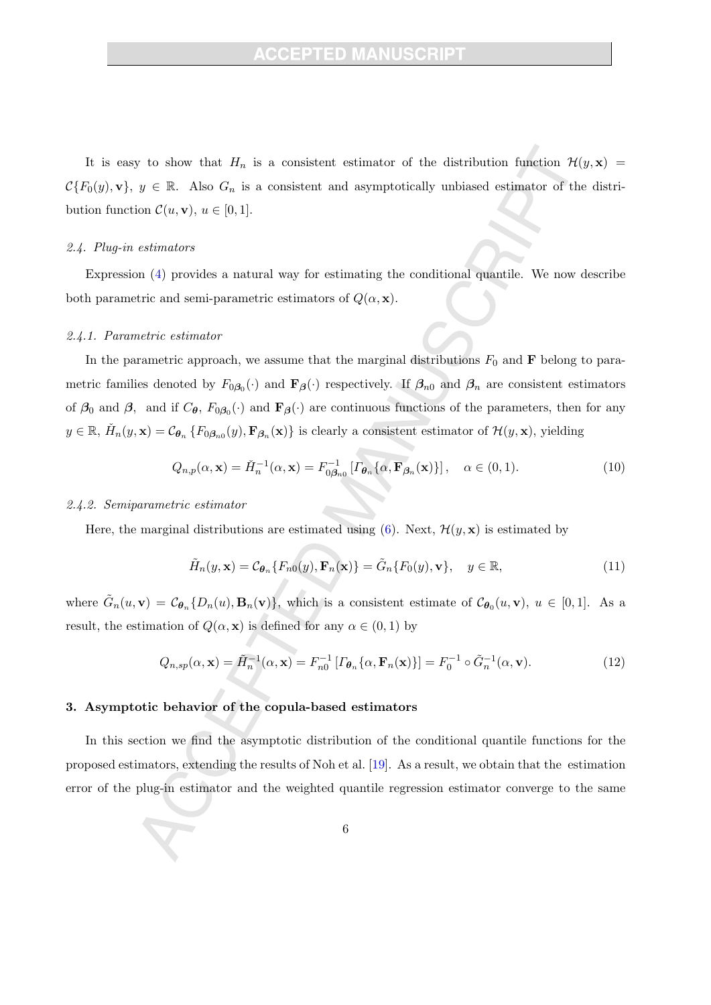It is easy to show that  $H_n$  is a consistent estimator of the distribution function  $\mathcal{H}(y, x)$  =  $C\{F_0(y),\mathbf{v}\},\ y\in\mathbb{R}$ . Also  $G_n$  is a consistent and asymptotically unbiased estimator of the distribution function  $\mathcal{C}(u, \mathbf{v}), u \in [0, 1].$ 

#### 2.4. Plug-in estimators

Expression (4) provides a natural way for estimating the conditional quantile. We now describe both parametric and semi-parametric estimators of  $Q(\alpha, \mathbf{x})$ .

#### 2.4.1. Parametric estimator

In the parametric approach, we assume that the marginal distributions  $F_0$  and **F** belong to parametric families denoted by  $F_{0\beta_0}(\cdot)$  and  $\mathbf{F}_{\beta}(\cdot)$  respectively. If  $\beta_{n0}$  and  $\beta_n$  are consistent estimators of  $\beta_0$  and  $\beta$ , and if  $C_{\theta}$ ,  $F_{0\beta_0}(\cdot)$  and  $\mathbf{F}_{\beta}(\cdot)$  are continuous functions of the parameters, then for any  $y \in \mathbb{R}, H_n(y, \mathbf{x}) = C_{\theta_n} \{ F_{0, \theta_n}(y), \mathbf{F}_{\beta_n}(x) \}$  is clearly a consistent estimator of  $\mathcal{H}(y, \mathbf{x})$ , yielding

$$
Q_{n,p}(\alpha, \mathbf{x}) = \check{H}_n^{-1}(\alpha, \mathbf{x}) = F_{0\beta_{n0}}^{-1} \left[ \varGamma_{\theta_n} \{ \alpha, \mathbf{F}_{\beta_n}(\mathbf{x}) \} \right], \quad \alpha \in (0, 1).
$$
 (10)

### 2.4.2. Semiparametric estimator

Here, the marginal distributions are estimated using (6). Next,  $\mathcal{H}(y, \mathbf{x})$  is estimated by

$$
\tilde{H}_n(y, \mathbf{x}) = \mathcal{C}_{\boldsymbol{\theta}_n} \{ F_{n0}(y), \mathbf{F}_n(\mathbf{x}) \} = \tilde{G}_n \{ F_0(y), \mathbf{v} \}, \quad y \in \mathbb{R}, \tag{11}
$$

where  $\tilde{G}_n(u, v) = \mathcal{C}_{\theta_n}\{D_n(u), B_n(v)\}\$ , which is a consistent estimate of  $\mathcal{C}_{\theta_0}(u, v)$ ,  $u \in [0, 1]$ . As a result, the estimation of  $Q(\alpha, \mathbf{x})$  is defined for any  $\alpha \in (0, 1)$  by

$$
Q_{n,sp}(\alpha,\mathbf{x}) = \tilde{H}_n^{-1}(\alpha,\mathbf{x}) = F_{n0}^{-1} \left[ \Gamma_{\theta_n} \{ \alpha, \mathbf{F}_n(\mathbf{x}) \} \right] = F_0^{-1} \circ \tilde{G}_n^{-1}(\alpha,\mathbf{v}). \tag{12}
$$

## 3. Asymptotic behavior of the copula-based estimators

In this section we find the asymptotic distribution of the conditional quantile functions for the proposed estimators, extending the results of Noh et al. [19]. As a result, we obtain that the estimation error of the plug-in estimator and the weighted quantile regression estimator converge to the same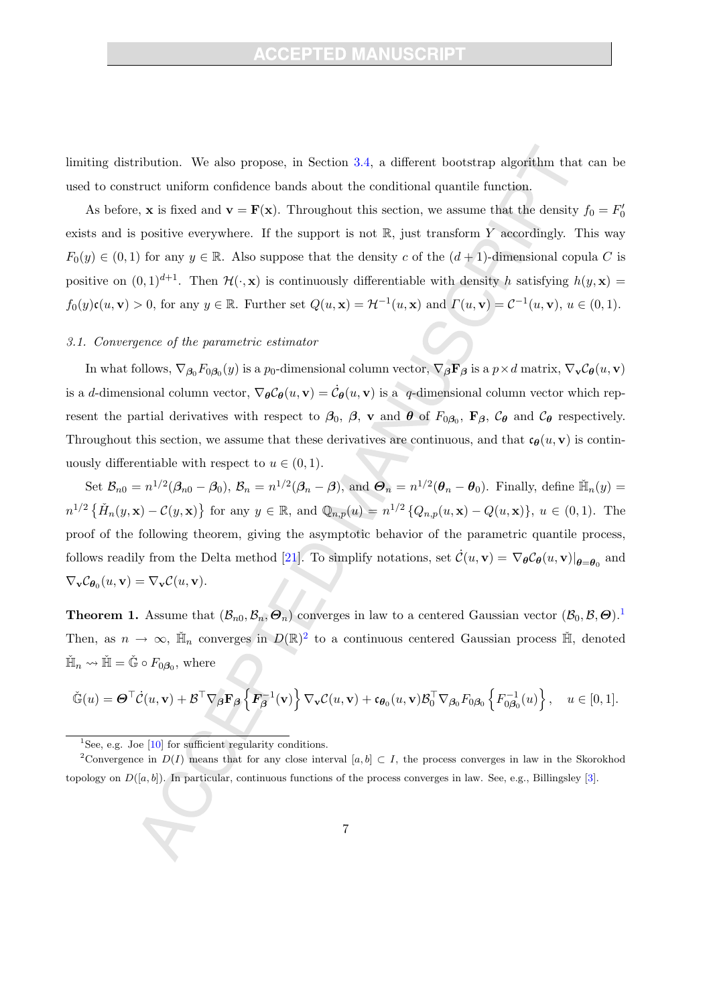limiting distribution. We also propose, in Section 3.4, a different bootstrap algorithm that can be used to construct uniform confidence bands about the conditional quantile function.

As before, **x** is fixed and **v** = **F**(**x**). Throughout this section, we assume that the density  $f_0 = F'_0$ exists and is positive everywhere. If the support is not  $\mathbb{R}$ , just transform Y accordingly. This way  $F_0(y) \in (0,1)$  for any  $y \in \mathbb{R}$ . Also suppose that the density c of the  $(d+1)$ -dimensional copula C is positive on  $(0, 1)^{d+1}$ . Then  $\mathcal{H}(\cdot, \mathbf{x})$  is continuously differentiable with density h satisfying  $h(y, \mathbf{x}) =$  $f_0(y)\mathfrak{c}(u,\mathbf{v}) > 0$ , for any  $y \in \mathbb{R}$ . Further set  $Q(u,\mathbf{x}) = \mathcal{H}^{-1}(u,\mathbf{x})$  and  $\Gamma(u,\mathbf{v}) = \mathcal{C}^{-1}(u,\mathbf{v})$ ,  $u \in (0,1)$ .

### 3.1. Convergence of the parametric estimator

In what follows,  $\nabla_{\beta_0} F_{0\beta_0}(y)$  is a  $p_0$ -dimensional column vector,  $\nabla_{\beta} \mathbf{F}_{\beta}$  is a  $p \times d$  matrix,  $\nabla_{\mathbf{v}} C_{\theta}(u, \mathbf{v})$ is a d-dimensional column vector,  $\nabla_{\theta} C_{\theta}(u, \mathbf{v}) = \dot{C}_{\theta}(u, \mathbf{v})$  is a q-dimensional column vector which represent the partial derivatives with respect to  $\beta_0$ ,  $\beta$ , v and  $\theta$  of  $F_{0\beta_0}$ ,  $\mathbf{F}_{\beta}$ ,  $\mathcal{C}_{\theta}$  and  $\mathcal{C}_{\theta}$  respectively. Throughout this section, we assume that these derivatives are continuous, and that  $c_{\theta}(u, v)$  is continuously differentiable with respect to  $u \in (0, 1)$ .

Set  $\mathcal{B}_{n0} = n^{1/2}(\beta_{n0} - \beta_0)$ ,  $\mathcal{B}_n = n^{1/2}(\beta_n - \beta)$ , and  $\mathcal{B}_n = n^{1/2}(\theta_n - \theta_0)$ . Finally, define  $\tilde{\mathbb{H}}_n(y) =$  $n^{1/2} \left\{ \check{H}_n(y,\mathbf{x}) - C(y,\mathbf{x}) \right\}$  for any  $y \in \mathbb{R}$ , and  $\mathbb{Q}_{n,p}(u) = n^{1/2} \left\{ Q_{n,p}(u,\mathbf{x}) - Q(u,\mathbf{x}) \right\}$ ,  $u \in (0,1)$ . The proof of the following theorem, giving the asymptotic behavior of the parametric quantile process, follows readily from the Delta method [21]. To simplify notations, set  $\dot{\mathcal{C}}(u, \mathbf{v}) = \nabla_{\theta} \mathcal{C}_{\theta}(u, \mathbf{v})|_{\theta = \theta_0}$  and  $\nabla_{\mathbf{v}}\mathcal{C}_{\boldsymbol{\theta}_0}(u,\mathbf{v}) = \nabla_{\mathbf{v}}\mathcal{C}(u,\mathbf{v}).$ 

**Theorem 1.** Assume that  $(\mathcal{B}_n, \mathcal{B}_n, \overline{\Theta}_n)$  converges in law to a centered Gaussian vector  $(\mathcal{B}_0, \mathcal{B}, \Theta)$ .<sup>1</sup> Then, as  $n \to \infty$ ,  $\check{\mathbb{H}}_n$  converges in  $D(\mathbb{R})^2$  to a continuous centered Gaussian process  $\check{\mathbb{H}}$ , denoted  $\check{\mathbb{H}}_n \leadsto \check{\mathbb{H}} = \check{\mathbb{G}} \circ F_{0\beta_0}$ , where

$$
\check{\mathbb{G}}(u) = \mathbf{\Theta}^\top \dot{\mathcal{C}}(u, \mathbf{v}) + \mathcal{B}^\top \nabla_{\beta} \mathbf{F}_{\beta} \left\{ \mathbf{F}_{\beta}^{-1}(\mathbf{v}) \right\} \nabla_{\mathbf{v}} \mathcal{C}(u, \mathbf{v}) + \mathfrak{c}_{\theta_0}(u, \mathbf{v}) \mathcal{B}_0^\top \nabla_{\beta_0} F_{0\beta_0} \left\{ F_{0\beta_0}^{-1}(u) \right\}, \quad u \in [0, 1].
$$

<sup>&</sup>lt;sup>1</sup>See, e.g. Joe  $[10]$  for sufficient regularity conditions.

<sup>&</sup>lt;sup>2</sup>Convergence in  $D(I)$  means that for any close interval [a, b] ⊂ I, the process converges in law in the Skorokhod topology on  $D([a, b])$ . In particular, continuous functions of the process converges in law. See, e.g., Billingsley [3].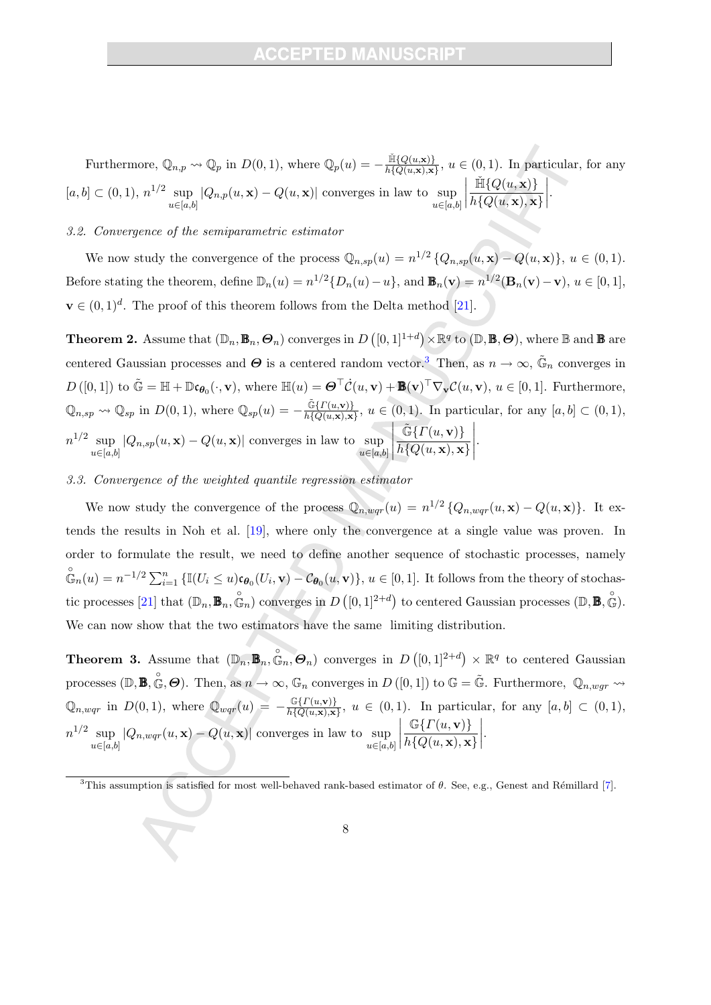Furthermore,  $\mathbb{Q}_{n,p} \rightsquigarrow \mathbb{Q}_p$  in  $D(0,1)$ , where  $\mathbb{Q}_p(u) = -\frac{\mathbb{H}\{Q(u,\mathbf{x})\}}{h\{Q(u,\mathbf{x}),\mathbf{x}\}}$  $\frac{\ln\{Q(u,\mathbf{x})\}}{h\{Q(u,\mathbf{x}),\mathbf{x}\}}, u \in (0,1)$ . In particular, for any  $[a, b] \subset (0, 1), n^{1/2} \sup$  $u \in [a,b]$  $|Q_{n,p}(u,\mathbf{x}) - Q(u,\mathbf{x})|$  converges in law to sup  $u \in [a,b]$   $\check{\mathbb{H}}\{Q(u,\mathbf{x})\}$  $h\{Q(u,\mathbf{x}),\mathbf{x}\}\)$  $\begin{array}{c} \hline \end{array}$ .

## 3.2. Convergence of the semiparametric estimator

We now study the convergence of the process  $\mathbb{Q}_{n,sp}(u) = n^{1/2} \{Q_{n,sp}(u,\mathbf{x}) - Q(u,\mathbf{x})\}, u \in (0,1)$ . Before stating the theorem, define  $\mathbb{D}_n(u) = n^{1/2} \{ D_n(u) - u \}$ , and  $\mathbf{B}_n(\mathbf{v}) = n^{1/2} (\mathbf{B}_n(\mathbf{v}) - \mathbf{v})$ ,  $u \in [0, 1]$ ,  $\mathbf{v} \in (0,1)^d$ . The proof of this theorem follows from the Delta method [21].

**Theorem 2.** Assume that  $(\mathbb{D}_n, \mathbb{B}_n, \Theta_n)$  converges in  $D([0,1]^{1+d}) \times \mathbb{R}^q$  to  $(\mathbb{D}, \mathbb{B}, \Theta)$ , where  $\mathbb B$  and  $\mathbb B$  are centered Gaussian processes and  $\Theta$  is a centered random vector.<sup>3</sup> Then, as  $n \to \infty$ ,  $\tilde{\mathbb{G}}_n$  converges in  $D([0,1])$  to  $\tilde{\mathbb{G}} = \mathbb{H} + \mathbb{D}\mathfrak{c}_{\boldsymbol{\theta}_0}(\cdot,\mathbf{v}),$  where  $\mathbb{H}(u) = \boldsymbol{\Theta}^\top \dot{\mathcal{C}}(u,\mathbf{v}) + \mathbb{B}(\mathbf{v})^\top \nabla_{\mathbf{v}} \mathcal{C}(u,\mathbf{v}), u \in [0,1].$  Furthermore,  $\mathbb{Q}_{n,sp} \rightsquigarrow \mathbb{Q}_{sp}$  in  $D(0,1)$ , where  $\mathbb{Q}_{sp}(u) = -\frac{\tilde{\mathbb{G}}\{ \Gamma(u,\mathbf{v}) \}}{h\{ Q(u,\mathbf{x}),\mathbf{x}} }$  $\frac{\mathbb{G}\left\{I\left(u,\mathbf{V}\right)\right\}}{h\left\{Q(u,\mathbf{x}),\mathbf{x}\right\}}, u \in (0,1).$  In particular, for any  $[a,b] \subset (0,1),$  $n^{1/2}$  sup  $u \in [a,b]$  $|Q_{n,sp}(u,\mathbf{x}) - Q(u,\mathbf{x})|$  converges in law to sup  $u \in [a,b]$  $\overline{\phantom{a}}$  $\tilde{\mathbb{G}}\{\overline{\Gamma}(u, \mathbf{v})\}$  $h\{Q(u,\mathbf{x}),\mathbf{x}\}$  .

## 3.3. Convergence of the weighted quantile regression estimator

We now study the convergence of the process  $\mathbb{Q}_{n,wqr}(u) = n^{1/2} \{Q_{n,wqr}(u,\mathbf{x}) - Q(u,\mathbf{x})\}$ . It extends the results in Noh et al. [19], where only the convergence at a single value was proven. In order to formulate the result, we need to define another sequence of stochastic processes, namely  $\mathfrak{S}_n(u) = n^{-1/2} \sum_{i=1}^n {\{\mathbb{I}(U_i \leq u)\mathfrak{c}_{\theta_0}(U_i, \mathbf{v}) - \mathcal{C}_{\theta_0}(u, \mathbf{v})\}}, u \in [0, 1].$  It follows from the theory of stochastic processes [21] that  $(\mathbb{D}_n, \mathbb{B}_n, \mathbb{G}_n)$  converges in  $D([0,1]^{2+d})$  to centered Gaussian processes  $(\mathbb{D}, \mathbb{B}, \mathbb{G})$ . We can now show that the two estimators have the same limiting distribution.

**Theorem 3.** Assume that  $(\mathbb{D}_n, \mathbb{B}_n, \mathbb{G}_n, \Theta_n)$  converges in  $D([0,1]^{2+d}) \times \mathbb{R}^q$  to centered Gaussian processes  $(\mathbb{D}, \mathbb{B}, \mathbb{G}, \Theta)$ . Then, as  $n \to \infty$ ,  $\mathbb{G}_n$  converges in  $D([0, 1])$  to  $\mathbb{G} = \tilde{\mathbb{G}}$ . Furthermore,  $\mathbb{Q}_{n, wgr} \rightsquigarrow$  $\mathbb{Q}_{n,wqr}$  in  $D(0,1)$ , where  $\mathbb{Q}_{wqr}(u) = -\frac{\mathbb{G}\lbrace \Gamma(u,\mathbf{v}) \rbrace}{h \lbrace Q(u,\mathbf{x}),\mathbf{x} \rbrace}$  $\frac{\ln\{I(u,\mathbf{v})\}}{h\{Q(u,\mathbf{x}),\mathbf{x}\}}, u \in (0,1).$  In particular, for any  $[a,b] \subset (0,1),$  $n^{1/2}$  sup  $u \in [a,b]$  $|Q_{n,wqr}(u,\mathbf{x}) - Q(u,\mathbf{x})|$  converges in law to sup  $u \in [a,b]$   $\mathbb{G}\lbrace \varGamma(u,\mathbf{v})\rbrace$  $h\{Q(u,\mathbf{x}),\mathbf{x}\}\)$  .

<sup>&</sup>lt;sup>3</sup>This assumption is satisfied for most well-behaved rank-based estimator of  $\theta$ . See, e.g., Genest and Rémillard [7].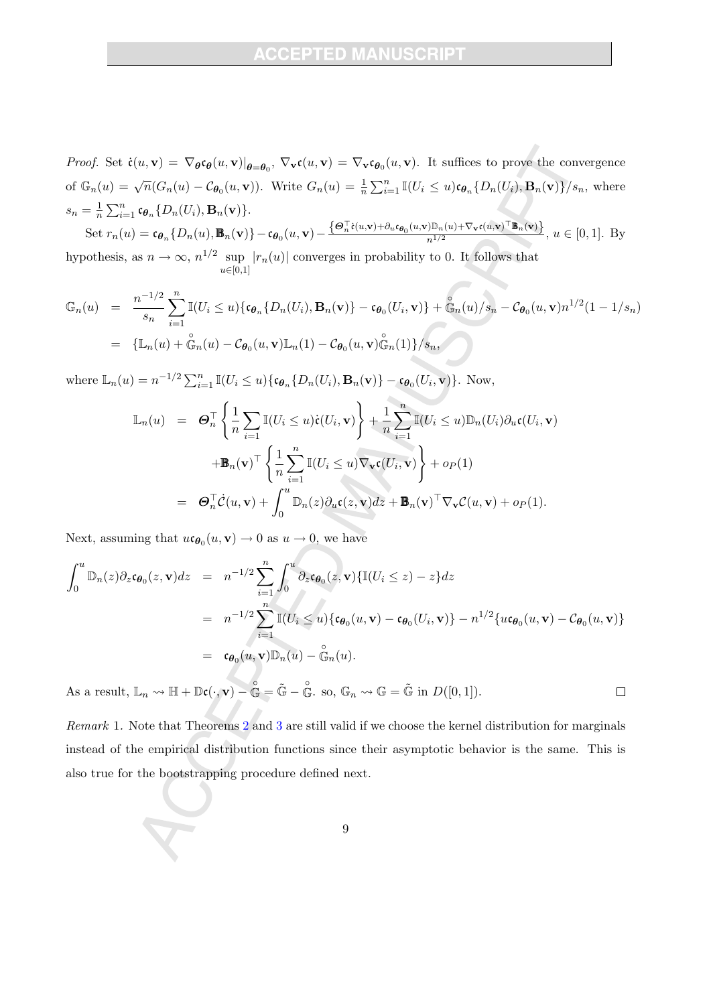*Proof.* Set  $\dot{\mathfrak{c}}(u, \mathbf{v}) = \nabla_{\theta} \mathfrak{c}_{\theta}(u, \mathbf{v})|_{\theta = \theta_0}, \nabla_{\mathbf{v}} \mathfrak{c}(u, \mathbf{v}) = \nabla_{\mathbf{v}} \mathfrak{c}_{\theta_0}(u, \mathbf{v})$ . It suffices to prove the convergence of  $\mathbb{G}_n(u) = \sqrt{n}(G_n(u) - C_{\theta_0}(u, \mathbf{v}))$ . Write  $G_n(u) = \frac{1}{n} \sum_{i=1}^n \mathbb{I}(U_i \leq u) \mathfrak{e}_{\theta_n} \{D_n(U_i), \mathbf{B}_n(\mathbf{v})\}/s_n$ , where  $s_n = \frac{1}{n} \sum_{i=1}^n c_{\theta_n} \{D_n(U_i), \mathbf{B}_n(\mathbf{v})\}.$ 

Set 
$$
r_n(u) = \mathfrak{c}_{\theta_n} \{D_n(u), \mathbb{B}_n(\mathbf{v})\} - \mathfrak{c}_{\theta_0}(u, \mathbf{v}) - \frac{\{\Theta_n^{\top} \dot{\mathfrak{e}}(u, \mathbf{v}) + \partial_u \mathfrak{c}_{\theta_0}(u, \mathbf{v}) \mathbb{D}_n(u) + \nabla_v \mathfrak{c}(u, \mathbf{v})^{\top} \mathbb{B}_n(\mathbf{v})\}}{n^{1/2}}, u \in [0, 1].
$$
 By  
matchatic, so  $x \to \infty$ ,  $x^{1/2}$  can be (a) converges in probability to 0. It follows that

hypothesis, as  $n \to \infty$ ,  $n^{1/2}$  sup  $u \in [0,1]$  $|r_n(u)|$  converges in probability to 0. It follows that

$$
\mathbb{G}_n(u) = \frac{n^{-1/2}}{s_n} \sum_{i=1}^n \mathbb{I}(U_i \le u) \{ \mathfrak{c}_{\theta_n} \{ D_n(U_i), \mathbf{B}_n(\mathbf{v}) \} - \mathfrak{c}_{\theta_0}(U_i, \mathbf{v}) \} + \mathfrak{S}_n(u)/s_n - C_{\theta_0}(u, \mathbf{v}) n^{1/2} (1 - 1/s_n)
$$
  
= 
$$
\{ \mathbb{L}_n(u) + \mathfrak{S}_n(u) - C_{\theta_0}(u, \mathbf{v}) \mathbb{L}_n(1) - C_{\theta_0}(u, \mathbf{v}) \mathfrak{S}_n(1) \} / s_n,
$$

where  $\mathbb{L}_n(u) = n^{-1/2} \sum_{i=1}^n \mathbb{I}(U_i \leq u) \{ \mathfrak{c}_{\theta_n} \{ D_n(U_i), \mathbf{B}_n(\mathbf{v}) \} - \mathfrak{c}_{\theta_0}(U_i, \mathbf{v}) \}.$  Now,

$$
\mathbb{L}_n(u) = \Theta_n^{\top} \left\{ \frac{1}{n} \sum_{i=1}^n \mathbb{I}(U_i \le u) \dot{\mathbf{c}}(U_i, \mathbf{v}) \right\} + \frac{1}{n} \sum_{i=1}^n \mathbb{I}(U_i \le u) \mathbb{D}_n(U_i) \partial_u \mathbf{c}(U_i, \mathbf{v}) \n+ \mathbb{B}_n(\mathbf{v})^{\top} \left\{ \frac{1}{n} \sum_{i=1}^n \mathbb{I}(U_i \le u) \nabla_v \mathbf{c}(U_i, \mathbf{v}) \right\} + o_P(1) \n= \Theta_n^{\top} \dot{\mathcal{C}}(u, \mathbf{v}) + \int_0^u \mathbb{D}_n(z) \partial_u \mathbf{c}(z, \mathbf{v}) dz + \mathbb{B}_n(\mathbf{v})^{\top} \nabla_v \mathcal{C}(u, \mathbf{v}) + o_P(1).
$$

Next, assuming that  $u \mathfrak{c}_{\theta_0}(u, \mathbf{v}) \to 0$  as  $u \to 0$ , we have

$$
\int_0^u \mathbb{D}_n(z) \partial_z \mathbf{c}_{\theta_0}(z, \mathbf{v}) dz = n^{-1/2} \sum_{i=1}^n \int_0^u \partial_z \mathbf{c}_{\theta_0}(z, \mathbf{v}) \{ \mathbb{I}(U_i \le z) - z \} dz
$$
  
\n
$$
= n^{-1/2} \sum_{i=1}^n \mathbb{I}(U_i \le u) \{ \mathbf{c}_{\theta_0}(u, \mathbf{v}) - \mathbf{c}_{\theta_0}(U_i, \mathbf{v}) \} - n^{1/2} \{ u \mathbf{c}_{\theta_0}(u, \mathbf{v}) - C_{\theta_0}(u, \mathbf{v}) \}
$$
  
\n
$$
= \mathbf{c}_{\theta_0}(u, \mathbf{v}) \mathbb{D}_n(u) - \mathbb{G}_n(u).
$$

As a result,  $\mathbb{L}_n \leadsto \mathbb{H} + \mathbb{D}\mathfrak{c}(\cdot, \mathbf{v}) - \mathring{\mathbb{G}} = \tilde{\mathbb{G}} - \mathring{\mathbb{G}}$ . so,  $\mathbb{G}_n \leadsto \mathbb{G} = \tilde{\mathbb{G}}$  in  $D([0, 1]).$  $\Box$ 

Remark 1. Note that Theorems 2 and 3 are still valid if we choose the kernel distribution for marginals instead of the empirical distribution functions since their asymptotic behavior is the same. This is also true for the bootstrapping procedure defined next.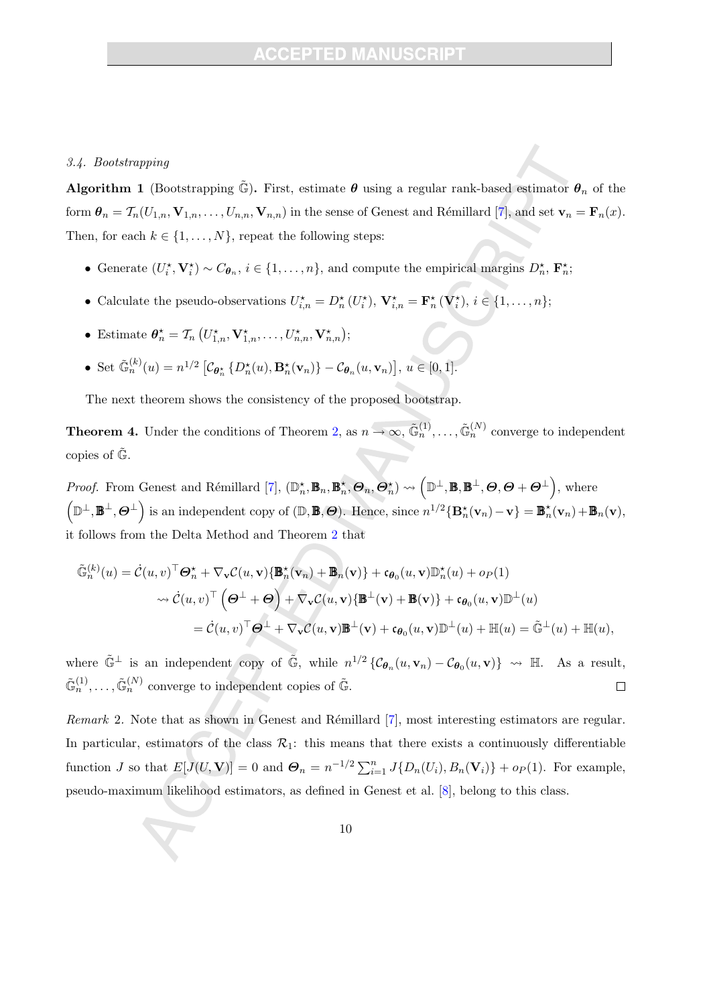## **CCEPTED MANUSCR**

#### 3.4. Bootstrapping

**Algorithm 1** (Bootstrapping  $\tilde{\mathbb{G}}$ ). First, estimate  $\theta$  using a regular rank-based estimator  $\theta_n$  of the form  $\theta_n = \mathcal{T}_n(U_{1,n}, \mathbf{V}_{1,n}, \ldots, U_{n,n}, \mathbf{V}_{n,n})$  in the sense of Genest and Rémillard [7], and set  $\mathbf{v}_n = \mathbf{F}_n(x)$ . Then, for each  $k \in \{1, ..., N\}$ , repeat the following steps:

- Generate  $(U_i^*, \mathbf{V}_i^*) \sim C_{\boldsymbol{\theta}_n}, i \in \{1, ..., n\}$ , and compute the empirical margins  $D_n^*, \mathbf{F}_n^*$ ;
- Calculate the pseudo-observations  $U_{i,n}^* = D_n^* (U_i^*)$ ,  $\mathbf{V}_{i,n}^* = \mathbf{F}_n^* (\mathbf{V}_i^*)$ ,  $i \in \{1, ..., n\}$ ;
- Estimate  $\boldsymbol{\theta}_n^* = \mathcal{T}_n \left( U_{1,n}^*, \mathbf{V}_{1,n}^*, \dots, U_{n,n}^*, \mathbf{V}_{n,n}^* \right);$
- Set  $\tilde{\mathbb{G}}_n^{(k)}(u) = n^{1/2} \left[ \mathcal{C}_{\boldsymbol{\theta}_n^{\star}} \left\{ D_n^{\star}(u), \mathbf{B}_n^{\star}(\mathbf{v}_n) \right\} \mathcal{C}_{\boldsymbol{\theta}_n}(u, \mathbf{v}_n) \right], u \in [0, 1].$

The next theorem shows the consistency of the proposed bootstrap.

**Theorem 4.** Under the conditions of Theorem 2, as  $n \to \infty$ ,  $\tilde{\mathbb{G}}_n^{(1)}$ , ...,  $\tilde{\mathbb{G}}_n^{(N)}$  converge to independent copies of  $\mathbb{G}$ .

*Proof.* From Genest and Rémillard [7],  $(\mathbb{D}_n^{\star}, \mathbb{B}_n, \mathbb{B}_n^{\star}, \Theta_n, \Theta_n^{\star}) \leadsto (\mathbb{D}^{\perp}, \mathbb{B}, \mathbb{B}^{\perp}, \Theta, \Theta + \Theta^{\perp})$ , where  $(\mathbb{D}^{\perp}, \mathbf{B}^{\perp}, \Theta^{\perp})$  is an independent copy of  $(\mathbb{D}, \mathbf{B}, \Theta)$ . Hence, since  $n^{1/2} {\bf B}_{n}^{\star}(\mathbf{v}_{n}) - \mathbf{v} {\bf B}_{n}^{\star}(\mathbf{v}_{n}) + \mathbf{B}_{n}(\mathbf{v}),$ it follows from the Delta Method and Theorem 2 that

$$
\tilde{\mathbb{G}}_n^{(k)}(u) = \dot{\mathcal{C}}(u, v)^\top \Theta_n^{\star} + \nabla_{\mathbf{v}} \mathcal{C}(u, \mathbf{v}) \{\mathbb{B}_n^{\star}(\mathbf{v}_n) + \mathbb{B}_n(\mathbf{v})\} + \mathfrak{c}_{\theta_0}(u, \mathbf{v}) \mathbb{D}_n^{\star}(u) + o_P(1)
$$
\n
$$
\leadsto \dot{\mathcal{C}}(u, v)^\top \left(\Theta^\perp + \Theta\right) + \nabla_{\mathbf{v}} \mathcal{C}(u, \mathbf{v}) \{\mathbb{B}^\perp(\mathbf{v}) + \mathbb{B}(\mathbf{v})\} + \mathfrak{c}_{\theta_0}(u, \mathbf{v}) \mathbb{D}^\perp(u)
$$
\n
$$
= \dot{\mathcal{C}}(u, v)^\top \Theta^\perp + \nabla_{\mathbf{v}} \mathcal{C}(u, \mathbf{v}) \mathbb{B}^\perp(\mathbf{v}) + \mathfrak{c}_{\theta_0}(u, \mathbf{v}) \mathbb{D}^\perp(u) + \mathbb{H}(u) = \tilde{\mathbb{G}}^\perp(u) + \mathbb{H}(u),
$$

where  $\tilde{\mathbb{G}}^{\perp}$  is an independent copy of  $\tilde{\mathbb{G}}$ , while  $n^{1/2} \left\{ \mathcal{C}_{\theta_n}(u, \mathbf{v}_n) - \mathcal{C}_{\theta_0}(u, \mathbf{v}) \right\} \rightsquigarrow \mathbb{H}$ . As a result,  $\tilde{\mathbb{G}}_n^{(1)}, \ldots, \tilde{\mathbb{G}}_n^{(N)}$  converge to independent copies of  $\tilde{\mathbb{G}}$ .  $\Box$ 

Remark 2. Note that as shown in Genest and Rémillard  $[7]$ , most interesting estimators are regular. In particular, estimators of the class  $\mathcal{R}_1$ : this means that there exists a continuously differentiable function J so that  $E[J(U, V)] = 0$  and  $\mathbf{\Theta}_n = n^{-1/2} \sum_{i=1}^n J\{D_n(U_i), B_n(V_i)\} + op(1)$ . For example, pseudo-maximum likelihood estimators, as defined in Genest et al. [8], belong to this class.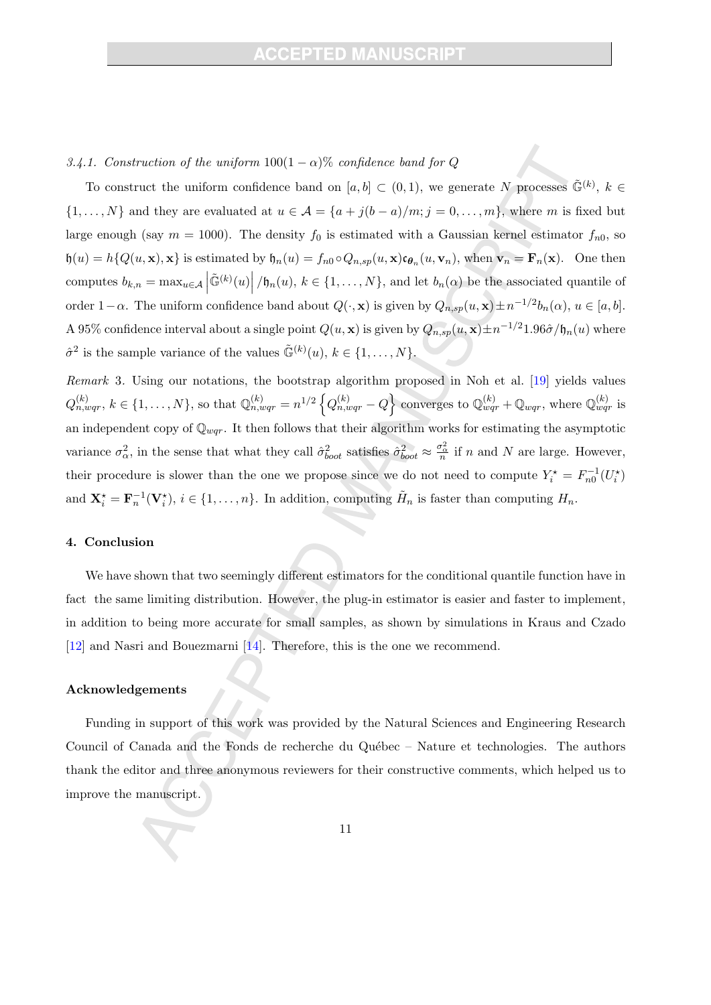## 3.4.1. Construction of the uniform  $100(1 - \alpha)\%$  confidence band for Q

To construct the uniform confidence band on  $[a, b] \subset (0, 1)$ , we generate N processes  $\tilde{\mathbb{G}}^{(k)}$ ,  $k \in$  $\{1,\ldots,N\}$  and they are evaluated at  $u \in \mathcal{A} = \{a+j(b-a)/m; j=0,\ldots,m\}$ , where m is fixed but large enough (say  $m = 1000$ ). The density  $f_0$  is estimated with a Gaussian kernel estimator  $f_{n0}$ , so  $\mathfrak{h}(u) = h\{Q(u, \mathbf{x}), \mathbf{x}\}\$ is estimated by  $\mathfrak{h}_n(u) = f_{n0} \circ Q_{n,sp}(u, \mathbf{x}) \mathfrak{c}_{\theta_n}(u, \mathbf{v}_n)$ , when  $\mathbf{v}_n = \mathbf{F}_n(\mathbf{x})$ . One then computes  $b_{k,n} = \max_{u \in \mathcal{A}} \left| \tilde{\mathbb{G}}^{(k)}(u) \right| / \mathfrak{h}_n(u), k \in \{1, \ldots, N\}$ , and let  $b_n(\alpha)$  be the associated quantile of order  $1-\alpha$ . The uniform confidence band about  $Q(\cdot, \mathbf{x})$  is given by  $Q_{n,sp}(u,\mathbf{x}) \pm n^{-1/2}b_n(\alpha)$ ,  $u \in [a, b]$ . A 95% confidence interval about a single point  $Q(u, \mathbf{x})$  is given by  $Q_{n,sp}(u, \mathbf{x}) \pm n^{-1/2}1.96\hat{\sigma}/\mathfrak{h}_n(u)$  where  $\hat{\sigma}^2$  is the sample variance of the values  $\tilde{\mathbb{G}}^{(k)}(u), k \in \{1, ..., N\}.$ 

Remark 3. Using our notations, the bootstrap algorithm proposed in Noh et al. [19] yields values  $Q_{n,wqr}^{(k)}$ ,  $k \in \{1,\ldots,N\}$ , so that  $\mathbb{Q}_{n,wqr}^{(k)} = n^{1/2} \left\{ Q_{n,wqr}^{(k)} - Q \right\}$  converges to  $\mathbb{Q}_{wqr}^{(k)} + \mathbb{Q}_{wqr}$ , where  $\mathbb{Q}_{wqr}^{(k)}$  is an independent copy of  $\mathbb{Q}_{wqr}$ . It then follows that their algorithm works for estimating the asymptotic variance  $\sigma_{\alpha}^2$ , in the sense that what they call  $\hat{\sigma}_{boot}^2$  satisfies  $\hat{\sigma}_{boot}^2 \approx \frac{\sigma_{\alpha}^2}{n}$  if n and N are large. However, their procedure is slower than the one we propose since we do not need to compute  $Y_i^* = F_{n0}^{-1}(U_i^*)$ and  $\mathbf{X}_{i}^{\star} = \mathbf{F}_{n}^{-1}(\mathbf{V}_{i}^{\star}), i \in \{1, ..., n\}$ . In addition, computing  $\tilde{H}_{n}$  is faster than computing  $H_{n}$ .

## 4. Conclusion

We have shown that two seemingly different estimators for the conditional quantile function have in fact the same limiting distribution. However, the plug-in estimator is easier and faster to implement, in addition to being more accurate for small samples, as shown by simulations in Kraus and Czado [12] and Nasri and Bouezmarni [14]. Therefore, this is the one we recommend.

## Acknowledgements

Funding in support of this work was provided by the Natural Sciences and Engineering Research Council of Canada and the Fonds de recherche du Québec – Nature et technologies. The authors thank the editor and three anonymous reviewers for their constructive comments, which helped us to improve the manuscript.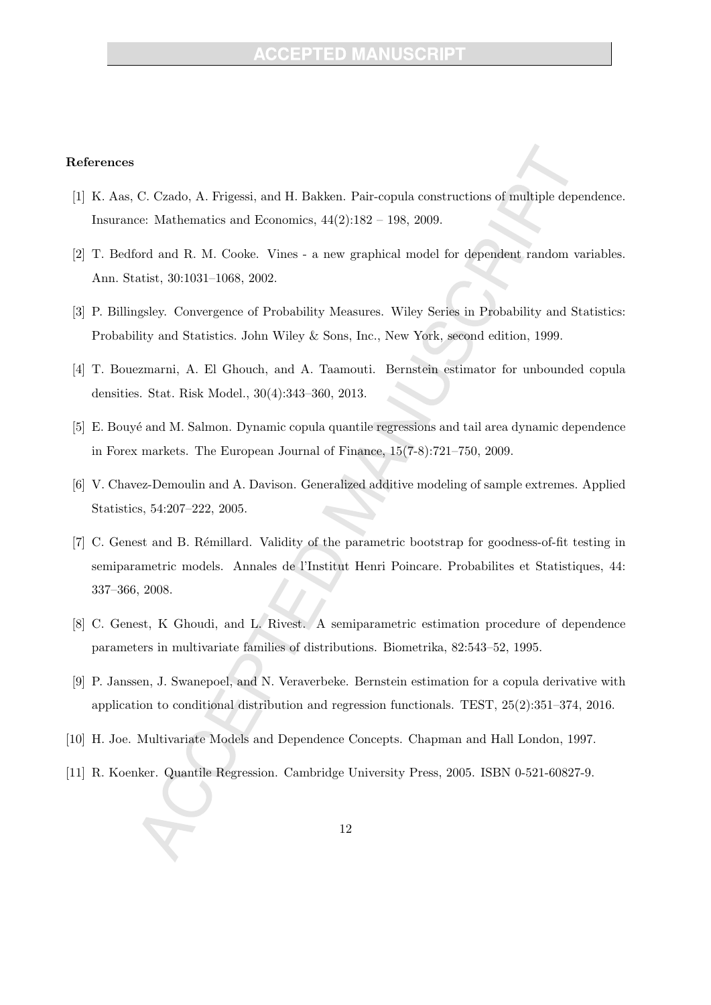## **CCEPTED MANUSC**

### References

- [1] K. Aas, C. Czado, A. Frigessi, and H. Bakken. Pair-copula constructions of multiple dependence. Insurance: Mathematics and Economics, 44(2):182 – 198, 2009.
- [2] T. Bedford and R. M. Cooke. Vines a new graphical model for dependent random variables. Ann. Statist, 30:1031–1068, 2002.
- [3] P. Billingsley. Convergence of Probability Measures. Wiley Series in Probability and Statistics: Probability and Statistics. John Wiley & Sons, Inc., New York, second edition, 1999.
- [4] T. Bouezmarni, A. El Ghouch, and A. Taamouti. Bernstein estimator for unbounded copula densities. Stat. Risk Model., 30(4):343–360, 2013.
- [5] E. Bouyé and M. Salmon. Dynamic copula quantile regressions and tail area dynamic dependence in Forex markets. The European Journal of Finance, 15(7-8):721–750, 2009.
- [6] V. Chavez-Demoulin and A. Davison. Generalized additive modeling of sample extremes. Applied Statistics, 54:207–222, 2005.
- [7] C. Genest and B. Rémillard. Validity of the parametric bootstrap for goodness-of-fit testing in semiparametric models. Annales de l'Institut Henri Poincare. Probabilites et Statistiques, 44: 337–366, 2008.
- [8] C. Genest, K Ghoudi, and L. Rivest. A semiparametric estimation procedure of dependence parameters in multivariate families of distributions. Biometrika, 82:543–52, 1995.
- [9] P. Janssen, J. Swanepoel, and N. Veraverbeke. Bernstein estimation for a copula derivative with application to conditional distribution and regression functionals. TEST, 25(2):351–374, 2016.
- [10] H. Joe. Multivariate Models and Dependence Concepts. Chapman and Hall London, 1997.
- [11] R. Koenker. Quantile Regression. Cambridge University Press, 2005. ISBN 0-521-60827-9.